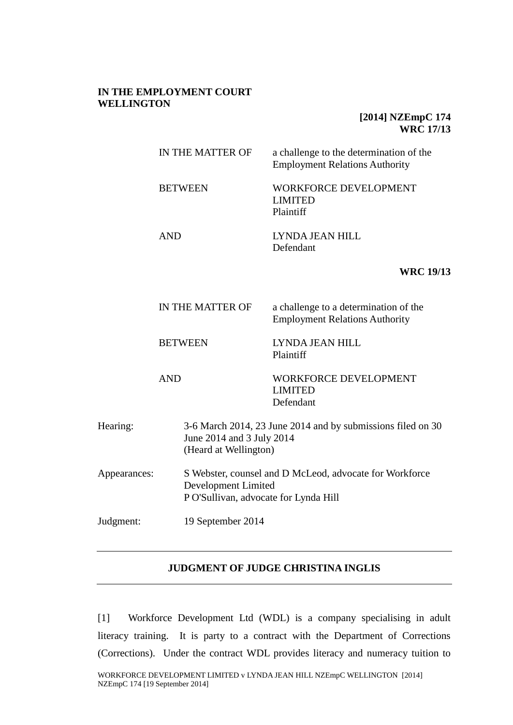## **IN THE EMPLOYMENT COURT WELLINGTON**

## **[2014] NZEmpC 174 WRC 17/13**

|              | IN THE MATTER OF                                             |                   | a challenge to the determination of the<br><b>Employment Relations Authority</b> |  |
|--------------|--------------------------------------------------------------|-------------------|----------------------------------------------------------------------------------|--|
|              | <b>BETWEEN</b>                                               |                   | <b>WORKFORCE DEVELOPMENT</b><br><b>LIMITED</b><br>Plaintiff                      |  |
|              | <b>AND</b>                                                   |                   | LYNDA JEAN HILL<br>Defendant                                                     |  |
|              |                                                              |                   | <b>WRC 19/13</b>                                                                 |  |
|              | IN THE MATTER OF<br><b>BETWEEN</b><br><b>AND</b>             |                   | a challenge to a determination of the<br><b>Employment Relations Authority</b>   |  |
|              |                                                              |                   | LYNDA JEAN HILL<br>Plaintiff                                                     |  |
|              |                                                              |                   | <b>WORKFORCE DEVELOPMENT</b><br><b>LIMITED</b><br>Defendant                      |  |
| Hearing:     | June 2014 and 3 July 2014<br>(Heard at Wellington)           |                   | 3-6 March 2014, 23 June 2014 and by submissions filed on 30                      |  |
| Appearances: | Development Limited<br>P O'Sullivan, advocate for Lynda Hill |                   | S Webster, counsel and D McLeod, advocate for Workforce                          |  |
| Judgment:    |                                                              | 19 September 2014 |                                                                                  |  |
|              |                                                              |                   |                                                                                  |  |

## **JUDGMENT OF JUDGE CHRISTINA INGLIS**

[1] Workforce Development Ltd (WDL) is a company specialising in adult literacy training. It is party to a contract with the Department of Corrections (Corrections). Under the contract WDL provides literacy and numeracy tuition to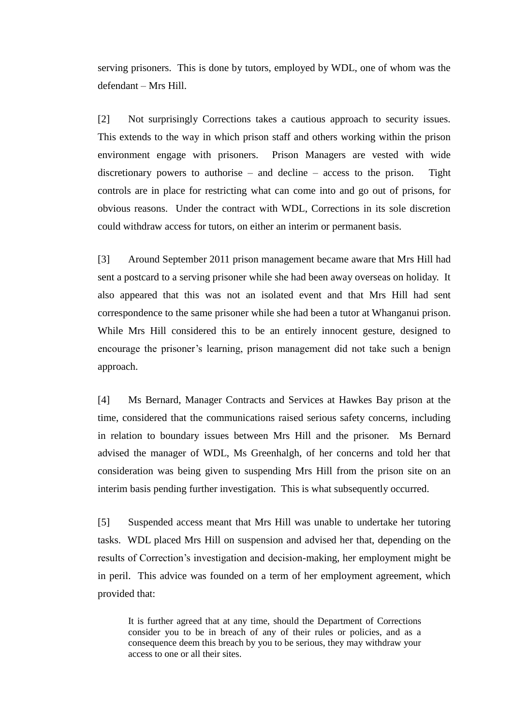serving prisoners. This is done by tutors, employed by WDL, one of whom was the defendant – Mrs Hill.

[2] Not surprisingly Corrections takes a cautious approach to security issues. This extends to the way in which prison staff and others working within the prison environment engage with prisoners. Prison Managers are vested with wide discretionary powers to authorise – and decline – access to the prison. Tight controls are in place for restricting what can come into and go out of prisons, for obvious reasons. Under the contract with WDL, Corrections in its sole discretion could withdraw access for tutors, on either an interim or permanent basis.

[3] Around September 2011 prison management became aware that Mrs Hill had sent a postcard to a serving prisoner while she had been away overseas on holiday. It also appeared that this was not an isolated event and that Mrs Hill had sent correspondence to the same prisoner while she had been a tutor at Whanganui prison. While Mrs Hill considered this to be an entirely innocent gesture, designed to encourage the prisoner's learning, prison management did not take such a benign approach.

[4] Ms Bernard, Manager Contracts and Services at Hawkes Bay prison at the time, considered that the communications raised serious safety concerns, including in relation to boundary issues between Mrs Hill and the prisoner. Ms Bernard advised the manager of WDL, Ms Greenhalgh, of her concerns and told her that consideration was being given to suspending Mrs Hill from the prison site on an interim basis pending further investigation. This is what subsequently occurred.

[5] Suspended access meant that Mrs Hill was unable to undertake her tutoring tasks. WDL placed Mrs Hill on suspension and advised her that, depending on the results of Correction's investigation and decision-making, her employment might be in peril. This advice was founded on a term of her employment agreement, which provided that:

It is further agreed that at any time, should the Department of Corrections consider you to be in breach of any of their rules or policies, and as a consequence deem this breach by you to be serious, they may withdraw your access to one or all their sites.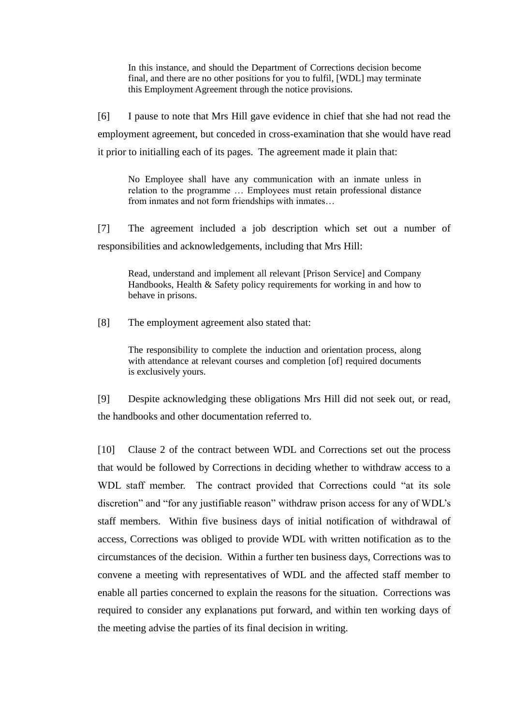In this instance, and should the Department of Corrections decision become final, and there are no other positions for you to fulfil, [WDL] may terminate this Employment Agreement through the notice provisions.

[6] I pause to note that Mrs Hill gave evidence in chief that she had not read the employment agreement, but conceded in cross-examination that she would have read it prior to initialling each of its pages. The agreement made it plain that:

No Employee shall have any communication with an inmate unless in relation to the programme … Employees must retain professional distance from inmates and not form friendships with inmates…

[7] The agreement included a job description which set out a number of responsibilities and acknowledgements, including that Mrs Hill:

Read, understand and implement all relevant [Prison Service] and Company Handbooks, Health & Safety policy requirements for working in and how to behave in prisons.

[8] The employment agreement also stated that:

The responsibility to complete the induction and orientation process, along with attendance at relevant courses and completion [of] required documents is exclusively yours.

[9] Despite acknowledging these obligations Mrs Hill did not seek out, or read, the handbooks and other documentation referred to.

[10] Clause 2 of the contract between WDL and Corrections set out the process that would be followed by Corrections in deciding whether to withdraw access to a WDL staff member. The contract provided that Corrections could "at its sole discretion" and "for any justifiable reason" withdraw prison access for any of WDL's staff members. Within five business days of initial notification of withdrawal of access, Corrections was obliged to provide WDL with written notification as to the circumstances of the decision. Within a further ten business days, Corrections was to convene a meeting with representatives of WDL and the affected staff member to enable all parties concerned to explain the reasons for the situation. Corrections was required to consider any explanations put forward, and within ten working days of the meeting advise the parties of its final decision in writing.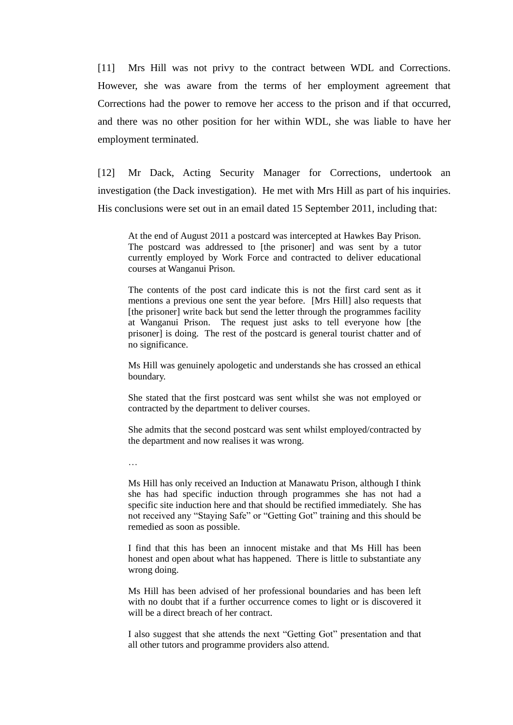[11] Mrs Hill was not privy to the contract between WDL and Corrections. However, she was aware from the terms of her employment agreement that Corrections had the power to remove her access to the prison and if that occurred, and there was no other position for her within WDL, she was liable to have her employment terminated.

[12] Mr Dack, Acting Security Manager for Corrections, undertook an investigation (the Dack investigation). He met with Mrs Hill as part of his inquiries. His conclusions were set out in an email dated 15 September 2011, including that:

At the end of August 2011 a postcard was intercepted at Hawkes Bay Prison. The postcard was addressed to [the prisoner] and was sent by a tutor currently employed by Work Force and contracted to deliver educational courses at Wanganui Prison.

The contents of the post card indicate this is not the first card sent as it mentions a previous one sent the year before. [Mrs Hill] also requests that [the prisoner] write back but send the letter through the programmes facility at Wanganui Prison. The request just asks to tell everyone how [the prisoner] is doing. The rest of the postcard is general tourist chatter and of no significance.

Ms Hill was genuinely apologetic and understands she has crossed an ethical boundary.

She stated that the first postcard was sent whilst she was not employed or contracted by the department to deliver courses.

She admits that the second postcard was sent whilst employed/contracted by the department and now realises it was wrong.

…

Ms Hill has only received an Induction at Manawatu Prison, although I think she has had specific induction through programmes she has not had a specific site induction here and that should be rectified immediately. She has not received any "Staying Safe" or "Getting Got" training and this should be remedied as soon as possible.

I find that this has been an innocent mistake and that Ms Hill has been honest and open about what has happened. There is little to substantiate any wrong doing.

Ms Hill has been advised of her professional boundaries and has been left with no doubt that if a further occurrence comes to light or is discovered it will be a direct breach of her contract.

I also suggest that she attends the next "Getting Got" presentation and that all other tutors and programme providers also attend.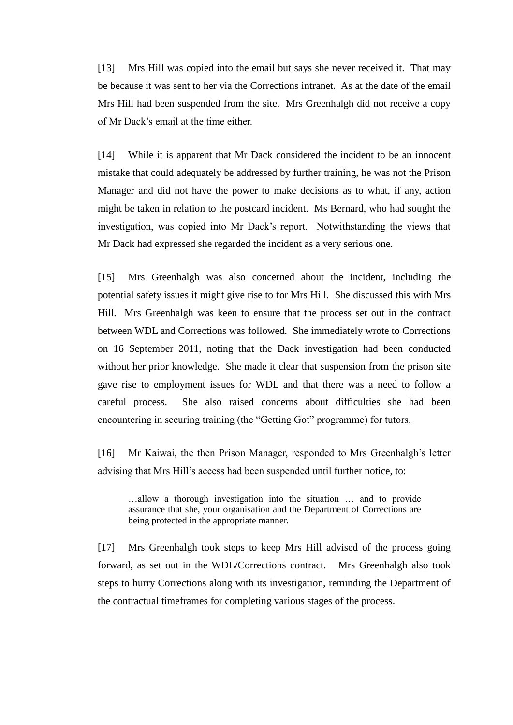[13] Mrs Hill was copied into the email but says she never received it. That may be because it was sent to her via the Corrections intranet. As at the date of the email Mrs Hill had been suspended from the site. Mrs Greenhalgh did not receive a copy of Mr Dack's email at the time either.

[14] While it is apparent that Mr Dack considered the incident to be an innocent mistake that could adequately be addressed by further training, he was not the Prison Manager and did not have the power to make decisions as to what, if any, action might be taken in relation to the postcard incident. Ms Bernard, who had sought the investigation, was copied into Mr Dack's report. Notwithstanding the views that Mr Dack had expressed she regarded the incident as a very serious one.

[15] Mrs Greenhalgh was also concerned about the incident, including the potential safety issues it might give rise to for Mrs Hill. She discussed this with Mrs Hill. Mrs Greenhalgh was keen to ensure that the process set out in the contract between WDL and Corrections was followed. She immediately wrote to Corrections on 16 September 2011, noting that the Dack investigation had been conducted without her prior knowledge. She made it clear that suspension from the prison site gave rise to employment issues for WDL and that there was a need to follow a careful process. She also raised concerns about difficulties she had been encountering in securing training (the "Getting Got" programme) for tutors.

[16] Mr Kaiwai, the then Prison Manager, responded to Mrs Greenhalgh's letter advising that Mrs Hill's access had been suspended until further notice, to:

…allow a thorough investigation into the situation … and to provide assurance that she, your organisation and the Department of Corrections are being protected in the appropriate manner.

[17] Mrs Greenhalgh took steps to keep Mrs Hill advised of the process going forward, as set out in the WDL/Corrections contract. Mrs Greenhalgh also took steps to hurry Corrections along with its investigation, reminding the Department of the contractual timeframes for completing various stages of the process.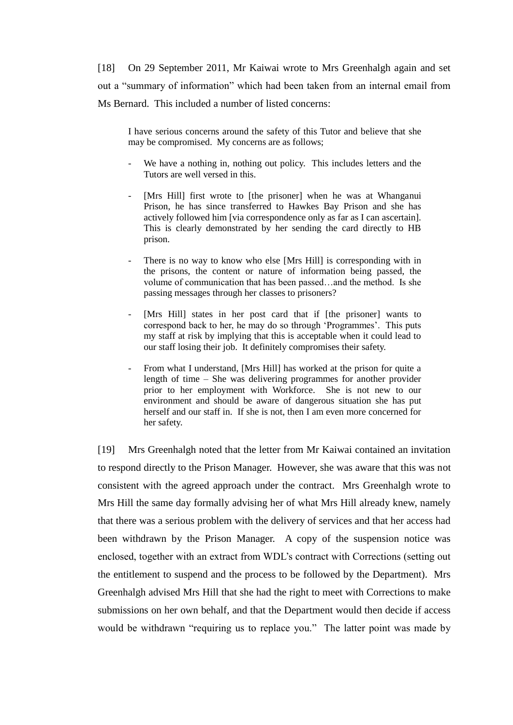[18] On 29 September 2011, Mr Kaiwai wrote to Mrs Greenhalgh again and set out a "summary of information" which had been taken from an internal email from Ms Bernard. This included a number of listed concerns:

I have serious concerns around the safety of this Tutor and believe that she may be compromised. My concerns are as follows;

- We have a nothing in, nothing out policy. This includes letters and the Tutors are well versed in this.
- [Mrs Hill] first wrote to [the prisoner] when he was at Whanganui Prison, he has since transferred to Hawkes Bay Prison and she has actively followed him [via correspondence only as far as I can ascertain]. This is clearly demonstrated by her sending the card directly to HB prison.
- There is no way to know who else [Mrs Hill] is corresponding with in the prisons, the content or nature of information being passed, the volume of communication that has been passed…and the method. Is she passing messages through her classes to prisoners?
- [Mrs Hill] states in her post card that if [the prisoner] wants to correspond back to her, he may do so through 'Programmes'. This puts my staff at risk by implying that this is acceptable when it could lead to our staff losing their job. It definitely compromises their safety.
- From what I understand, [Mrs Hill] has worked at the prison for quite a length of time – She was delivering programmes for another provider prior to her employment with Workforce. She is not new to our environment and should be aware of dangerous situation she has put herself and our staff in. If she is not, then I am even more concerned for her safety.

[19] Mrs Greenhalgh noted that the letter from Mr Kaiwai contained an invitation to respond directly to the Prison Manager. However, she was aware that this was not consistent with the agreed approach under the contract. Mrs Greenhalgh wrote to Mrs Hill the same day formally advising her of what Mrs Hill already knew, namely that there was a serious problem with the delivery of services and that her access had been withdrawn by the Prison Manager. A copy of the suspension notice was enclosed, together with an extract from WDL's contract with Corrections (setting out the entitlement to suspend and the process to be followed by the Department). Mrs Greenhalgh advised Mrs Hill that she had the right to meet with Corrections to make submissions on her own behalf, and that the Department would then decide if access would be withdrawn "requiring us to replace you." The latter point was made by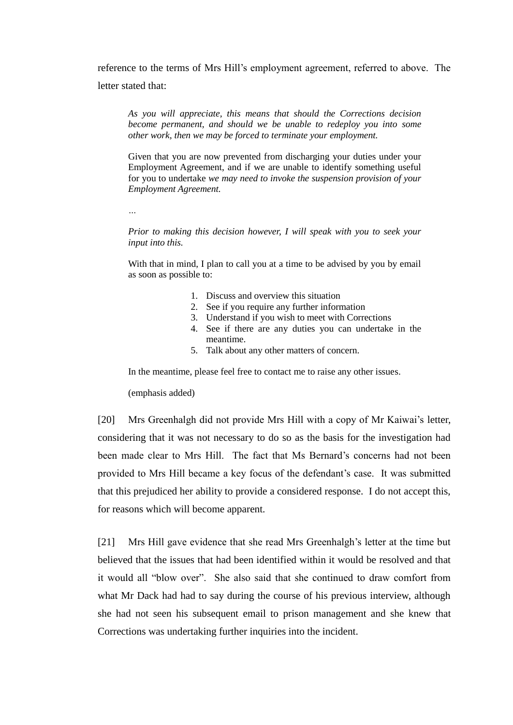reference to the terms of Mrs Hill's employment agreement, referred to above. The letter stated that:

*As you will appreciate, this means that should the Corrections decision become permanent, and should we be unable to redeploy you into some other work, then we may be forced to terminate your employment.*

Given that you are now prevented from discharging your duties under your Employment Agreement, and if we are unable to identify something useful for you to undertake *we may need to invoke the suspension provision of your Employment Agreement.*

*…*

*Prior to making this decision however, I will speak with you to seek your input into this.*

With that in mind, I plan to call you at a time to be advised by you by email as soon as possible to:

- 1. Discuss and overview this situation
- 2. See if you require any further information
- 3. Understand if you wish to meet with Corrections
- 4. See if there are any duties you can undertake in the meantime.
- 5. Talk about any other matters of concern.

In the meantime, please feel free to contact me to raise any other issues.

(emphasis added)

[20] Mrs Greenhalgh did not provide Mrs Hill with a copy of Mr Kaiwai's letter, considering that it was not necessary to do so as the basis for the investigation had been made clear to Mrs Hill. The fact that Ms Bernard's concerns had not been provided to Mrs Hill became a key focus of the defendant's case. It was submitted that this prejudiced her ability to provide a considered response. I do not accept this, for reasons which will become apparent.

[21] Mrs Hill gave evidence that she read Mrs Greenhalgh's letter at the time but believed that the issues that had been identified within it would be resolved and that it would all "blow over". She also said that she continued to draw comfort from what Mr Dack had had to say during the course of his previous interview, although she had not seen his subsequent email to prison management and she knew that Corrections was undertaking further inquiries into the incident.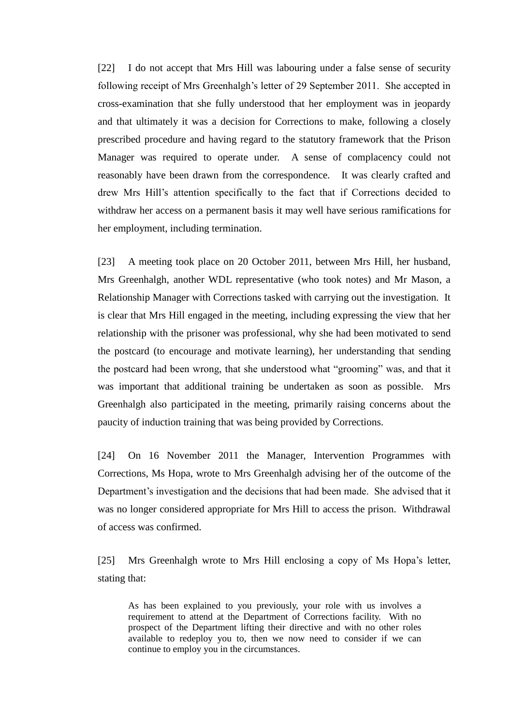[22] I do not accept that Mrs Hill was labouring under a false sense of security following receipt of Mrs Greenhalgh's letter of 29 September 2011. She accepted in cross-examination that she fully understood that her employment was in jeopardy and that ultimately it was a decision for Corrections to make, following a closely prescribed procedure and having regard to the statutory framework that the Prison Manager was required to operate under. A sense of complacency could not reasonably have been drawn from the correspondence. It was clearly crafted and drew Mrs Hill's attention specifically to the fact that if Corrections decided to withdraw her access on a permanent basis it may well have serious ramifications for her employment, including termination.

[23] A meeting took place on 20 October 2011, between Mrs Hill, her husband, Mrs Greenhalgh, another WDL representative (who took notes) and Mr Mason, a Relationship Manager with Corrections tasked with carrying out the investigation. It is clear that Mrs Hill engaged in the meeting, including expressing the view that her relationship with the prisoner was professional, why she had been motivated to send the postcard (to encourage and motivate learning), her understanding that sending the postcard had been wrong, that she understood what "grooming" was, and that it was important that additional training be undertaken as soon as possible. Mrs Greenhalgh also participated in the meeting, primarily raising concerns about the paucity of induction training that was being provided by Corrections.

[24] On 16 November 2011 the Manager, Intervention Programmes with Corrections, Ms Hopa, wrote to Mrs Greenhalgh advising her of the outcome of the Department's investigation and the decisions that had been made. She advised that it was no longer considered appropriate for Mrs Hill to access the prison. Withdrawal of access was confirmed.

[25] Mrs Greenhalgh wrote to Mrs Hill enclosing a copy of Ms Hopa's letter, stating that:

As has been explained to you previously, your role with us involves a requirement to attend at the Department of Corrections facility. With no prospect of the Department lifting their directive and with no other roles available to redeploy you to, then we now need to consider if we can continue to employ you in the circumstances.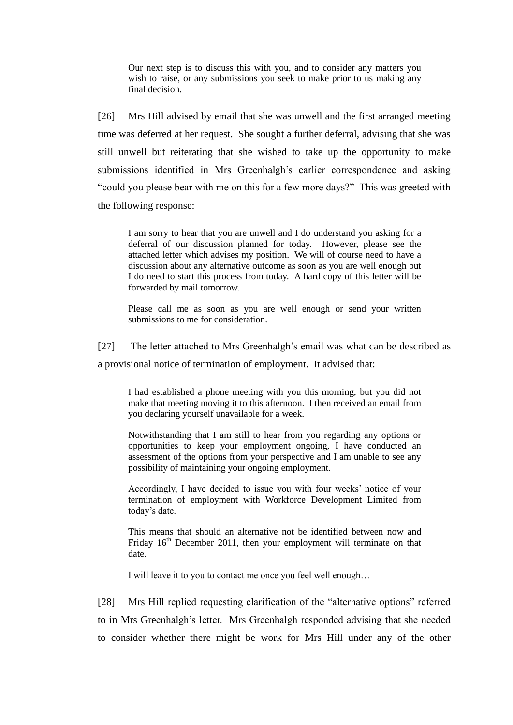Our next step is to discuss this with you, and to consider any matters you wish to raise, or any submissions you seek to make prior to us making any final decision.

[26] Mrs Hill advised by email that she was unwell and the first arranged meeting time was deferred at her request. She sought a further deferral, advising that she was still unwell but reiterating that she wished to take up the opportunity to make submissions identified in Mrs Greenhalgh's earlier correspondence and asking "could you please bear with me on this for a few more days?" This was greeted with the following response:

I am sorry to hear that you are unwell and I do understand you asking for a deferral of our discussion planned for today. However, please see the attached letter which advises my position. We will of course need to have a discussion about any alternative outcome as soon as you are well enough but I do need to start this process from today. A hard copy of this letter will be forwarded by mail tomorrow.

Please call me as soon as you are well enough or send your written submissions to me for consideration.

[27] The letter attached to Mrs Greenhalgh's email was what can be described as

a provisional notice of termination of employment. It advised that:

I had established a phone meeting with you this morning, but you did not make that meeting moving it to this afternoon. I then received an email from you declaring yourself unavailable for a week.

Notwithstanding that I am still to hear from you regarding any options or opportunities to keep your employment ongoing, I have conducted an assessment of the options from your perspective and I am unable to see any possibility of maintaining your ongoing employment.

Accordingly, I have decided to issue you with four weeks' notice of your termination of employment with Workforce Development Limited from today's date.

This means that should an alternative not be identified between now and Friday  $16<sup>th</sup>$  December 2011, then your employment will terminate on that date.

I will leave it to you to contact me once you feel well enough…

[28] Mrs Hill replied requesting clarification of the "alternative options" referred to in Mrs Greenhalgh's letter. Mrs Greenhalgh responded advising that she needed to consider whether there might be work for Mrs Hill under any of the other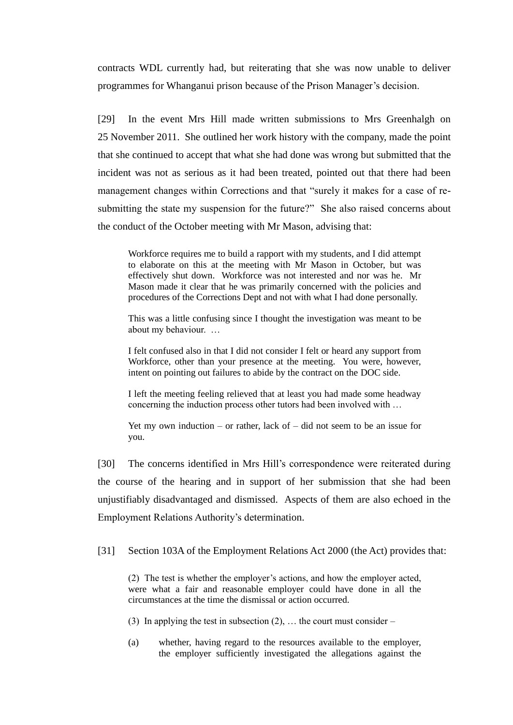contracts WDL currently had, but reiterating that she was now unable to deliver programmes for Whanganui prison because of the Prison Manager's decision.

[29] In the event Mrs Hill made written submissions to Mrs Greenhalgh on 25 November 2011. She outlined her work history with the company, made the point that she continued to accept that what she had done was wrong but submitted that the incident was not as serious as it had been treated, pointed out that there had been management changes within Corrections and that "surely it makes for a case of resubmitting the state my suspension for the future?" She also raised concerns about the conduct of the October meeting with Mr Mason, advising that:

Workforce requires me to build a rapport with my students, and I did attempt to elaborate on this at the meeting with Mr Mason in October, but was effectively shut down. Workforce was not interested and nor was he. Mr Mason made it clear that he was primarily concerned with the policies and procedures of the Corrections Dept and not with what I had done personally.

This was a little confusing since I thought the investigation was meant to be about my behaviour. …

I felt confused also in that I did not consider I felt or heard any support from Workforce, other than your presence at the meeting. You were, however, intent on pointing out failures to abide by the contract on the DOC side.

I left the meeting feeling relieved that at least you had made some headway concerning the induction process other tutors had been involved with …

Yet my own induction – or rather, lack of  $-$  did not seem to be an issue for you.

[30] The concerns identified in Mrs Hill's correspondence were reiterated during the course of the hearing and in support of her submission that she had been unjustifiably disadvantaged and dismissed. Aspects of them are also echoed in the Employment Relations Authority's determination.

[31] Section 103A of the Employment Relations Act 2000 (the Act) provides that:

(2) The test is whether the employer's actions, and how the employer acted, were what a fair and reasonable employer could have done in all the circumstances at the time the dismissal or action occurred.

(3) In applying the test in subsection  $(2)$ , ... the court must consider –

(a) whether, having regard to the resources available to the employer, the employer sufficiently investigated the allegations against the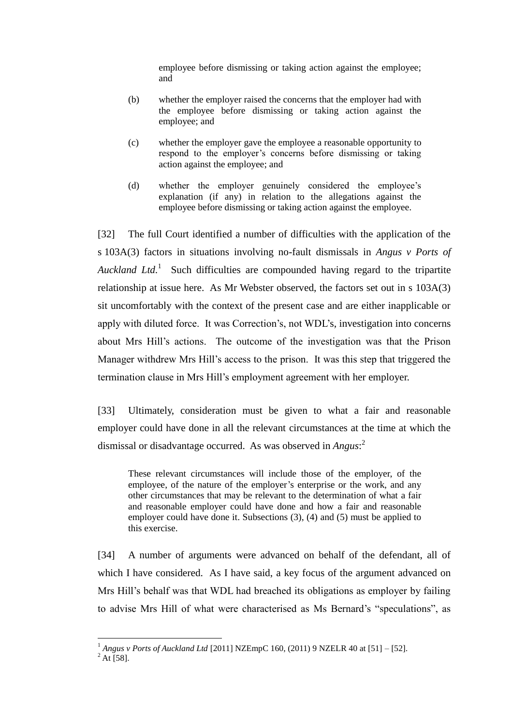employee before dismissing or taking action against the employee; and

- (b) whether the employer raised the concerns that the employer had with the employee before dismissing or taking action against the employee; and
- (c) whether the employer gave the employee a reasonable opportunity to respond to the employer's concerns before dismissing or taking action against the employee; and
- (d) whether the employer genuinely considered the employee's explanation (if any) in relation to the allegations against the employee before dismissing or taking action against the employee.

[32] The full Court identified a number of difficulties with the application of the s 103A(3) factors in situations involving no-fault dismissals in *Angus v Ports of Auckland Ltd.* 1 Such difficulties are compounded having regard to the tripartite relationship at issue here. As Mr Webster observed, the factors set out in s 103A(3) sit uncomfortably with the context of the present case and are either inapplicable or apply with diluted force. It was Correction's, not WDL's, investigation into concerns about Mrs Hill's actions. The outcome of the investigation was that the Prison Manager withdrew Mrs Hill's access to the prison. It was this step that triggered the termination clause in Mrs Hill's employment agreement with her employer.

[33] Ultimately, consideration must be given to what a fair and reasonable employer could have done in all the relevant circumstances at the time at which the dismissal or disadvantage occurred. As was observed in *Angus*: 2

These relevant circumstances will include those of the employer, of the employee, of the nature of the employer's enterprise or the work, and any other circumstances that may be relevant to the determination of what a fair and reasonable employer could have done and how a fair and reasonable employer could have done it. Subsections (3), (4) and (5) must be applied to this exercise.

[34] A number of arguments were advanced on behalf of the defendant, all of which I have considered. As I have said, a key focus of the argument advanced on Mrs Hill's behalf was that WDL had breached its obligations as employer by failing to advise Mrs Hill of what were characterised as Ms Bernard's "speculations", as

<sup>1</sup> *Angus v Ports of Auckland Ltd* [2011] NZEmpC 160, (2011) 9 NZELR 40 at [51] – [52].

 $^{2}$  At [58].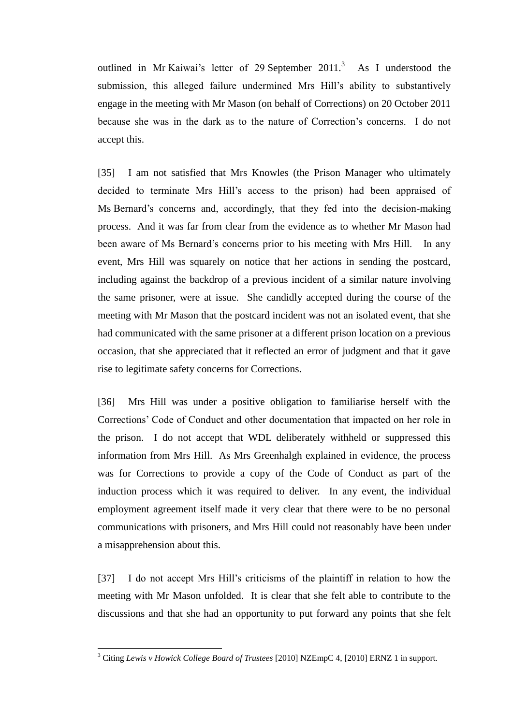outlined in Mr Kaiwai's letter of 29 September  $2011$ <sup>3</sup> As I understood the submission, this alleged failure undermined Mrs Hill's ability to substantively engage in the meeting with Mr Mason (on behalf of Corrections) on 20 October 2011 because she was in the dark as to the nature of Correction's concerns. I do not accept this.

[35] I am not satisfied that Mrs Knowles (the Prison Manager who ultimately decided to terminate Mrs Hill's access to the prison) had been appraised of Ms Bernard's concerns and, accordingly, that they fed into the decision-making process. And it was far from clear from the evidence as to whether Mr Mason had been aware of Ms Bernard's concerns prior to his meeting with Mrs Hill. In any event, Mrs Hill was squarely on notice that her actions in sending the postcard, including against the backdrop of a previous incident of a similar nature involving the same prisoner, were at issue. She candidly accepted during the course of the meeting with Mr Mason that the postcard incident was not an isolated event, that she had communicated with the same prisoner at a different prison location on a previous occasion, that she appreciated that it reflected an error of judgment and that it gave rise to legitimate safety concerns for Corrections.

[36] Mrs Hill was under a positive obligation to familiarise herself with the Corrections' Code of Conduct and other documentation that impacted on her role in the prison. I do not accept that WDL deliberately withheld or suppressed this information from Mrs Hill. As Mrs Greenhalgh explained in evidence, the process was for Corrections to provide a copy of the Code of Conduct as part of the induction process which it was required to deliver. In any event, the individual employment agreement itself made it very clear that there were to be no personal communications with prisoners, and Mrs Hill could not reasonably have been under a misapprehension about this.

[37] I do not accept Mrs Hill's criticisms of the plaintiff in relation to how the meeting with Mr Mason unfolded. It is clear that she felt able to contribute to the discussions and that she had an opportunity to put forward any points that she felt

<sup>3</sup> Citing *Lewis v Howick College Board of Trustees* [2010] NZEmpC 4, [2010] ERNZ 1 in support.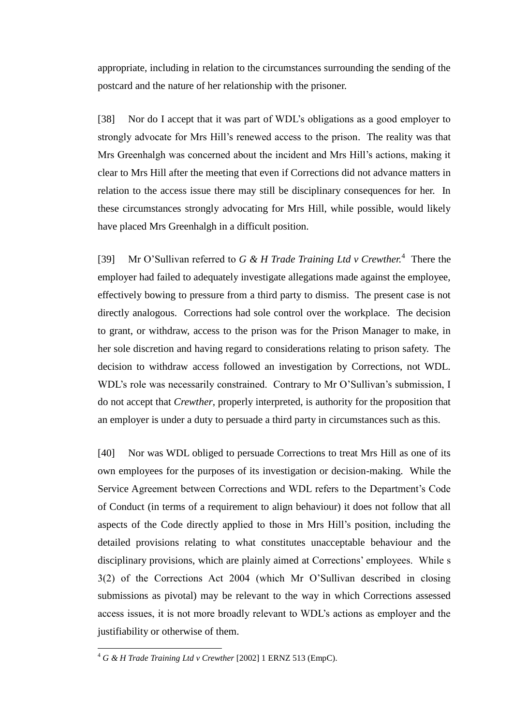appropriate, including in relation to the circumstances surrounding the sending of the postcard and the nature of her relationship with the prisoner.

[38] Nor do I accept that it was part of WDL's obligations as a good employer to strongly advocate for Mrs Hill's renewed access to the prison. The reality was that Mrs Greenhalgh was concerned about the incident and Mrs Hill's actions, making it clear to Mrs Hill after the meeting that even if Corrections did not advance matters in relation to the access issue there may still be disciplinary consequences for her. In these circumstances strongly advocating for Mrs Hill, while possible, would likely have placed Mrs Greenhalgh in a difficult position.

[39] Mr O'Sullivan referred to *G & H Trade Training Ltd v Crewther.*<sup>4</sup> There the employer had failed to adequately investigate allegations made against the employee, effectively bowing to pressure from a third party to dismiss. The present case is not directly analogous. Corrections had sole control over the workplace. The decision to grant, or withdraw, access to the prison was for the Prison Manager to make, in her sole discretion and having regard to considerations relating to prison safety. The decision to withdraw access followed an investigation by Corrections, not WDL. WDL's role was necessarily constrained. Contrary to Mr O'Sullivan's submission, I do not accept that *Crewther*, properly interpreted, is authority for the proposition that an employer is under a duty to persuade a third party in circumstances such as this.

[40] Nor was WDL obliged to persuade Corrections to treat Mrs Hill as one of its own employees for the purposes of its investigation or decision-making. While the Service Agreement between Corrections and WDL refers to the Department's Code of Conduct (in terms of a requirement to align behaviour) it does not follow that all aspects of the Code directly applied to those in Mrs Hill's position, including the detailed provisions relating to what constitutes unacceptable behaviour and the disciplinary provisions, which are plainly aimed at Corrections' employees. While s 3(2) of the Corrections Act 2004 (which Mr O'Sullivan described in closing submissions as pivotal) may be relevant to the way in which Corrections assessed access issues, it is not more broadly relevant to WDL's actions as employer and the justifiability or otherwise of them.

<sup>4</sup> *G & H Trade Training Ltd v Crewther* [2002] 1 ERNZ 513 (EmpC).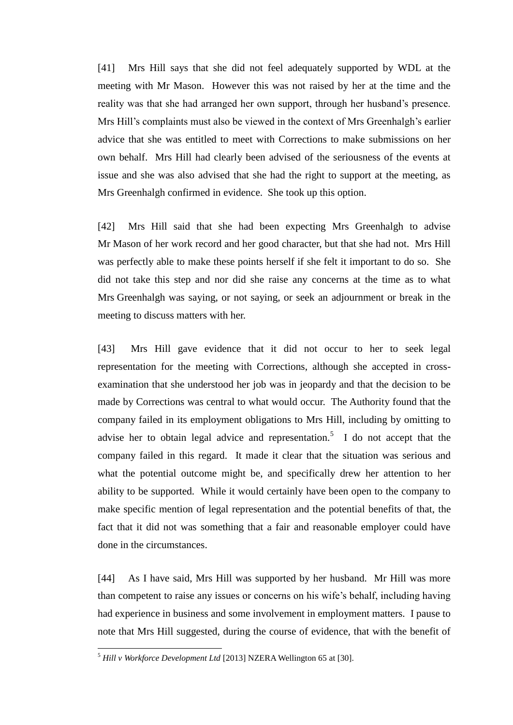[41] Mrs Hill says that she did not feel adequately supported by WDL at the meeting with Mr Mason. However this was not raised by her at the time and the reality was that she had arranged her own support, through her husband's presence. Mrs Hill's complaints must also be viewed in the context of Mrs Greenhalgh's earlier advice that she was entitled to meet with Corrections to make submissions on her own behalf. Mrs Hill had clearly been advised of the seriousness of the events at issue and she was also advised that she had the right to support at the meeting, as Mrs Greenhalgh confirmed in evidence. She took up this option.

[42] Mrs Hill said that she had been expecting Mrs Greenhalgh to advise Mr Mason of her work record and her good character, but that she had not. Mrs Hill was perfectly able to make these points herself if she felt it important to do so. She did not take this step and nor did she raise any concerns at the time as to what Mrs Greenhalgh was saying, or not saying, or seek an adjournment or break in the meeting to discuss matters with her.

[43] Mrs Hill gave evidence that it did not occur to her to seek legal representation for the meeting with Corrections, although she accepted in crossexamination that she understood her job was in jeopardy and that the decision to be made by Corrections was central to what would occur. The Authority found that the company failed in its employment obligations to Mrs Hill, including by omitting to advise her to obtain legal advice and representation.<sup>5</sup> I do not accept that the company failed in this regard. It made it clear that the situation was serious and what the potential outcome might be, and specifically drew her attention to her ability to be supported. While it would certainly have been open to the company to make specific mention of legal representation and the potential benefits of that, the fact that it did not was something that a fair and reasonable employer could have done in the circumstances.

[44] As I have said, Mrs Hill was supported by her husband. Mr Hill was more than competent to raise any issues or concerns on his wife's behalf, including having had experience in business and some involvement in employment matters. I pause to note that Mrs Hill suggested, during the course of evidence, that with the benefit of

<sup>5</sup> *Hill v Workforce Development Ltd* [2013] NZERA Wellington 65 at [30].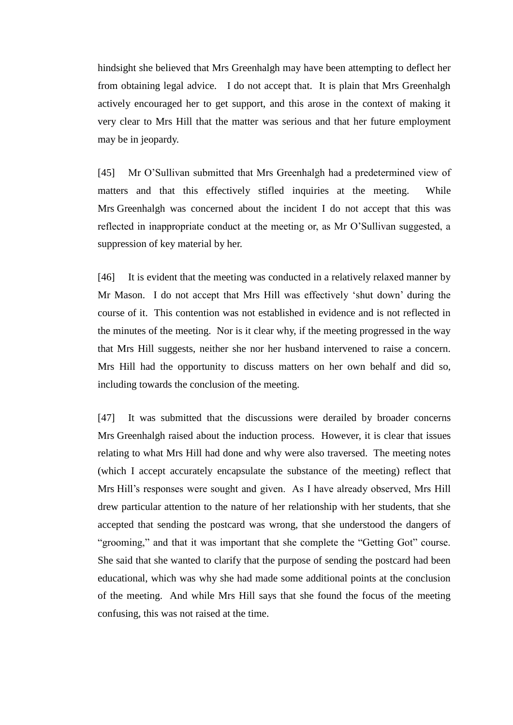hindsight she believed that Mrs Greenhalgh may have been attempting to deflect her from obtaining legal advice. I do not accept that. It is plain that Mrs Greenhalgh actively encouraged her to get support, and this arose in the context of making it very clear to Mrs Hill that the matter was serious and that her future employment may be in jeopardy.

[45] Mr O'Sullivan submitted that Mrs Greenhalgh had a predetermined view of matters and that this effectively stifled inquiries at the meeting. While Mrs Greenhalgh was concerned about the incident I do not accept that this was reflected in inappropriate conduct at the meeting or, as Mr O'Sullivan suggested, a suppression of key material by her.

[46] It is evident that the meeting was conducted in a relatively relaxed manner by Mr Mason. I do not accept that Mrs Hill was effectively 'shut down' during the course of it. This contention was not established in evidence and is not reflected in the minutes of the meeting. Nor is it clear why, if the meeting progressed in the way that Mrs Hill suggests, neither she nor her husband intervened to raise a concern. Mrs Hill had the opportunity to discuss matters on her own behalf and did so, including towards the conclusion of the meeting.

[47] It was submitted that the discussions were derailed by broader concerns Mrs Greenhalgh raised about the induction process. However, it is clear that issues relating to what Mrs Hill had done and why were also traversed. The meeting notes (which I accept accurately encapsulate the substance of the meeting) reflect that Mrs Hill's responses were sought and given. As I have already observed, Mrs Hill drew particular attention to the nature of her relationship with her students, that she accepted that sending the postcard was wrong, that she understood the dangers of "grooming," and that it was important that she complete the "Getting Got" course. She said that she wanted to clarify that the purpose of sending the postcard had been educational, which was why she had made some additional points at the conclusion of the meeting. And while Mrs Hill says that she found the focus of the meeting confusing, this was not raised at the time.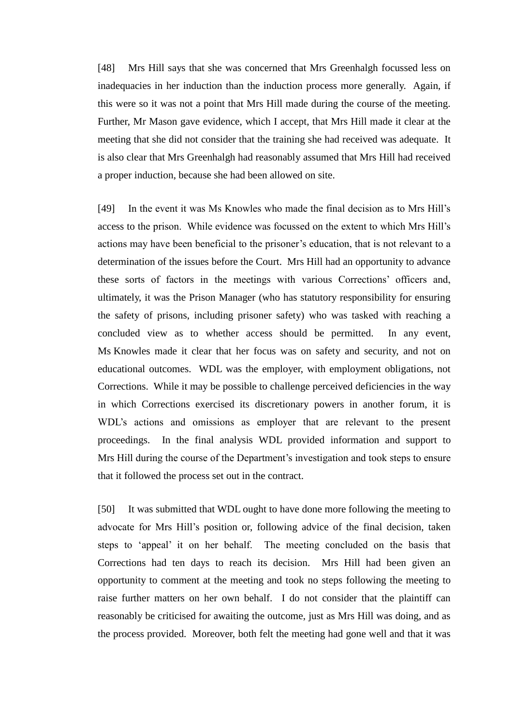[48] Mrs Hill says that she was concerned that Mrs Greenhalgh focussed less on inadequacies in her induction than the induction process more generally. Again, if this were so it was not a point that Mrs Hill made during the course of the meeting. Further, Mr Mason gave evidence, which I accept, that Mrs Hill made it clear at the meeting that she did not consider that the training she had received was adequate. It is also clear that Mrs Greenhalgh had reasonably assumed that Mrs Hill had received a proper induction, because she had been allowed on site.

[49] In the event it was Ms Knowles who made the final decision as to Mrs Hill's access to the prison. While evidence was focussed on the extent to which Mrs Hill's actions may have been beneficial to the prisoner's education, that is not relevant to a determination of the issues before the Court. Mrs Hill had an opportunity to advance these sorts of factors in the meetings with various Corrections' officers and, ultimately, it was the Prison Manager (who has statutory responsibility for ensuring the safety of prisons, including prisoner safety) who was tasked with reaching a concluded view as to whether access should be permitted. In any event, Ms Knowles made it clear that her focus was on safety and security, and not on educational outcomes. WDL was the employer, with employment obligations, not Corrections. While it may be possible to challenge perceived deficiencies in the way in which Corrections exercised its discretionary powers in another forum, it is WDL's actions and omissions as employer that are relevant to the present proceedings. In the final analysis WDL provided information and support to Mrs Hill during the course of the Department's investigation and took steps to ensure that it followed the process set out in the contract.

[50] It was submitted that WDL ought to have done more following the meeting to advocate for Mrs Hill's position or, following advice of the final decision, taken steps to 'appeal' it on her behalf. The meeting concluded on the basis that Corrections had ten days to reach its decision. Mrs Hill had been given an opportunity to comment at the meeting and took no steps following the meeting to raise further matters on her own behalf. I do not consider that the plaintiff can reasonably be criticised for awaiting the outcome, just as Mrs Hill was doing, and as the process provided. Moreover, both felt the meeting had gone well and that it was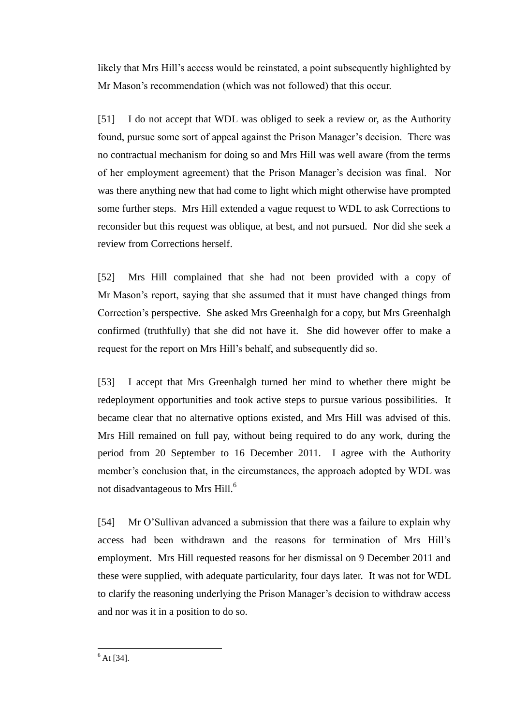likely that Mrs Hill's access would be reinstated, a point subsequently highlighted by Mr Mason's recommendation (which was not followed) that this occur.

[51] I do not accept that WDL was obliged to seek a review or, as the Authority found, pursue some sort of appeal against the Prison Manager's decision. There was no contractual mechanism for doing so and Mrs Hill was well aware (from the terms of her employment agreement) that the Prison Manager's decision was final. Nor was there anything new that had come to light which might otherwise have prompted some further steps. Mrs Hill extended a vague request to WDL to ask Corrections to reconsider but this request was oblique, at best, and not pursued. Nor did she seek a review from Corrections herself.

[52] Mrs Hill complained that she had not been provided with a copy of Mr Mason's report, saying that she assumed that it must have changed things from Correction's perspective. She asked Mrs Greenhalgh for a copy, but Mrs Greenhalgh confirmed (truthfully) that she did not have it. She did however offer to make a request for the report on Mrs Hill's behalf, and subsequently did so.

[53] I accept that Mrs Greenhalgh turned her mind to whether there might be redeployment opportunities and took active steps to pursue various possibilities. It became clear that no alternative options existed, and Mrs Hill was advised of this. Mrs Hill remained on full pay, without being required to do any work, during the period from 20 September to 16 December 2011. I agree with the Authority member's conclusion that, in the circumstances, the approach adopted by WDL was not disadvantageous to Mrs Hill.<sup>6</sup>

[54] Mr O'Sullivan advanced a submission that there was a failure to explain why access had been withdrawn and the reasons for termination of Mrs Hill's employment. Mrs Hill requested reasons for her dismissal on 9 December 2011 and these were supplied, with adequate particularity, four days later. It was not for WDL to clarify the reasoning underlying the Prison Manager's decision to withdraw access and nor was it in a position to do so.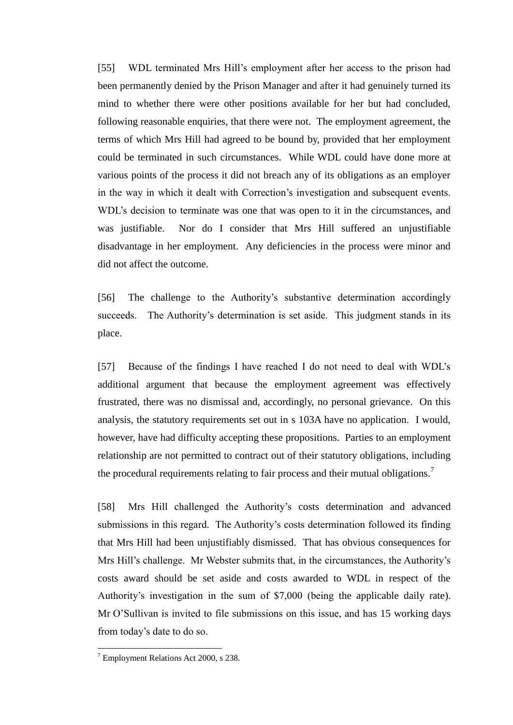[55] WDL terminated Mrs Hill's employment after her access to the prison had been permanently denied by the Prison Manager and after it had genuinely turned its mind to whether there were other positions available for her but had concluded, following reasonable enquiries, that there were not. The employment agreement, the terms of which Mrs Hill had agreed to be bound by, provided that her employment could be terminated in such circumstances. While WDL could have done more at various points of the process it did not breach any of its obligations as an employer in the way in which it dealt with Correction's investigation and subsequent events. WDL's decision to terminate was one that was open to it in the circumstances, and was justifiable. Nor do I consider that Mrs Hill suffered an unjustifiable disadvantage in her employment. Any deficiencies in the process were minor and did not affect the outcome.

[56] The challenge to the Authority's substantive determination accordingly succeeds. The Authority's determination is set aside. This judgment stands in its place.

[57] Because of the findings I have reached I do not need to deal with WDL's additional argument that because the employment agreement was effectively frustrated, there was no dismissal and, accordingly, no personal grievance. On this analysis, the statutory requirements set out in s 103A have no application. I would, however, have had difficulty accepting these propositions. Parties to an employment relationship are not permitted to contract out of their statutory obligations, including the procedural requirements relating to fair process and their mutual obligations.<sup>7</sup>

[58] Mrs Hill challenged the Authority's costs determination and advanced submissions in this regard. The Authority's costs determination followed its finding that Mrs Hill had been unjustifiably dismissed. That has obvious consequences for Mrs Hill's challenge. Mr Webster submits that, in the circumstances, the Authority's costs award should be set aside and costs awarded to WDL in respect of the Authority's investigation in the sum of \$7,000 (being the applicable daily rate). Mr O'Sullivan is invited to file submissions on this issue, and has 15 working days from today's date to do so.

 $7$  Employment Relations Act 2000, s 238.